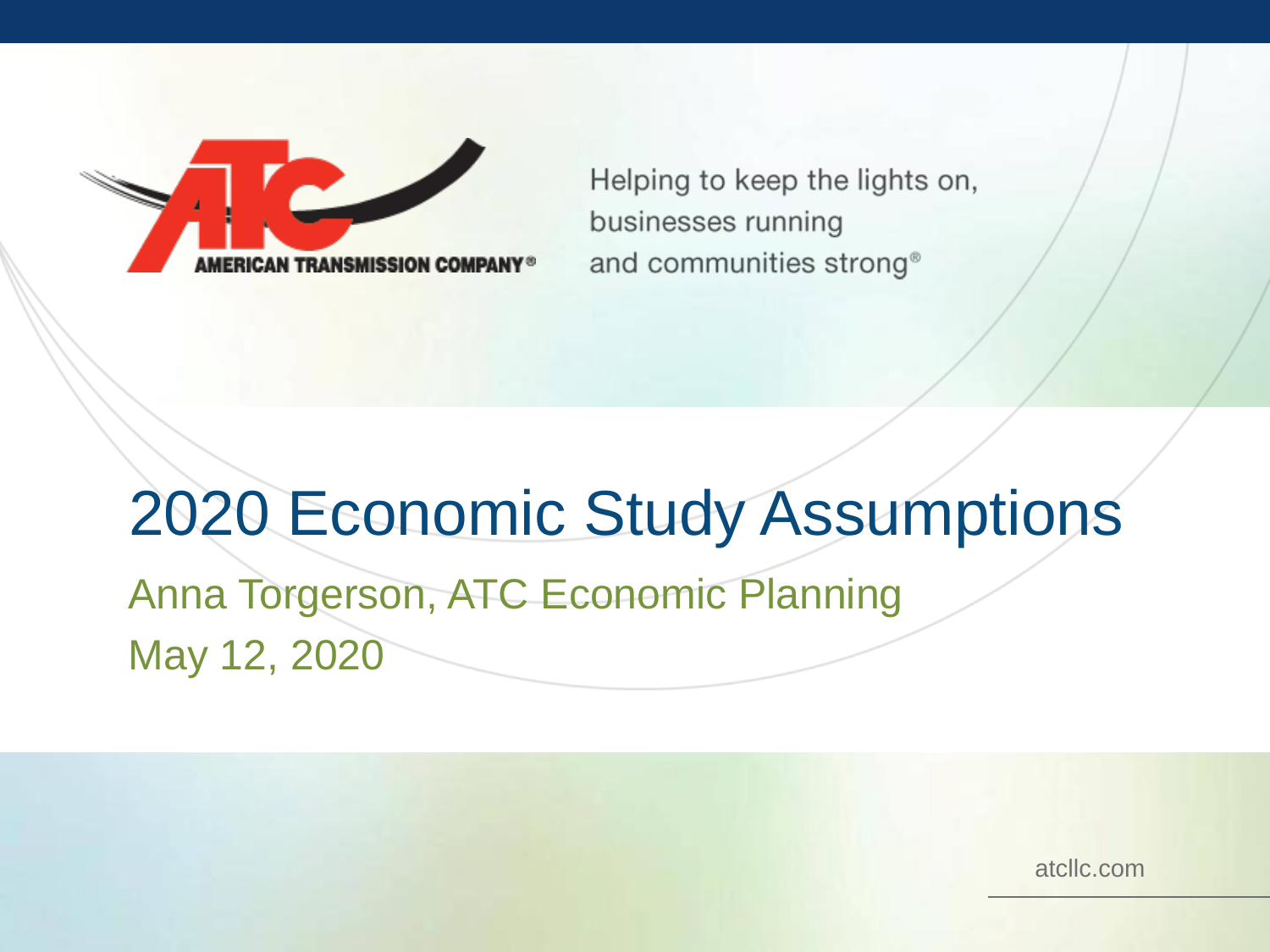Helping to keep the lights on, businesses running and communities strong<sup>®</sup>

# 2020 Economic Study Assumptions

Anna Torgerson, ATC Economic Planning May 12, 2020

atcllc.com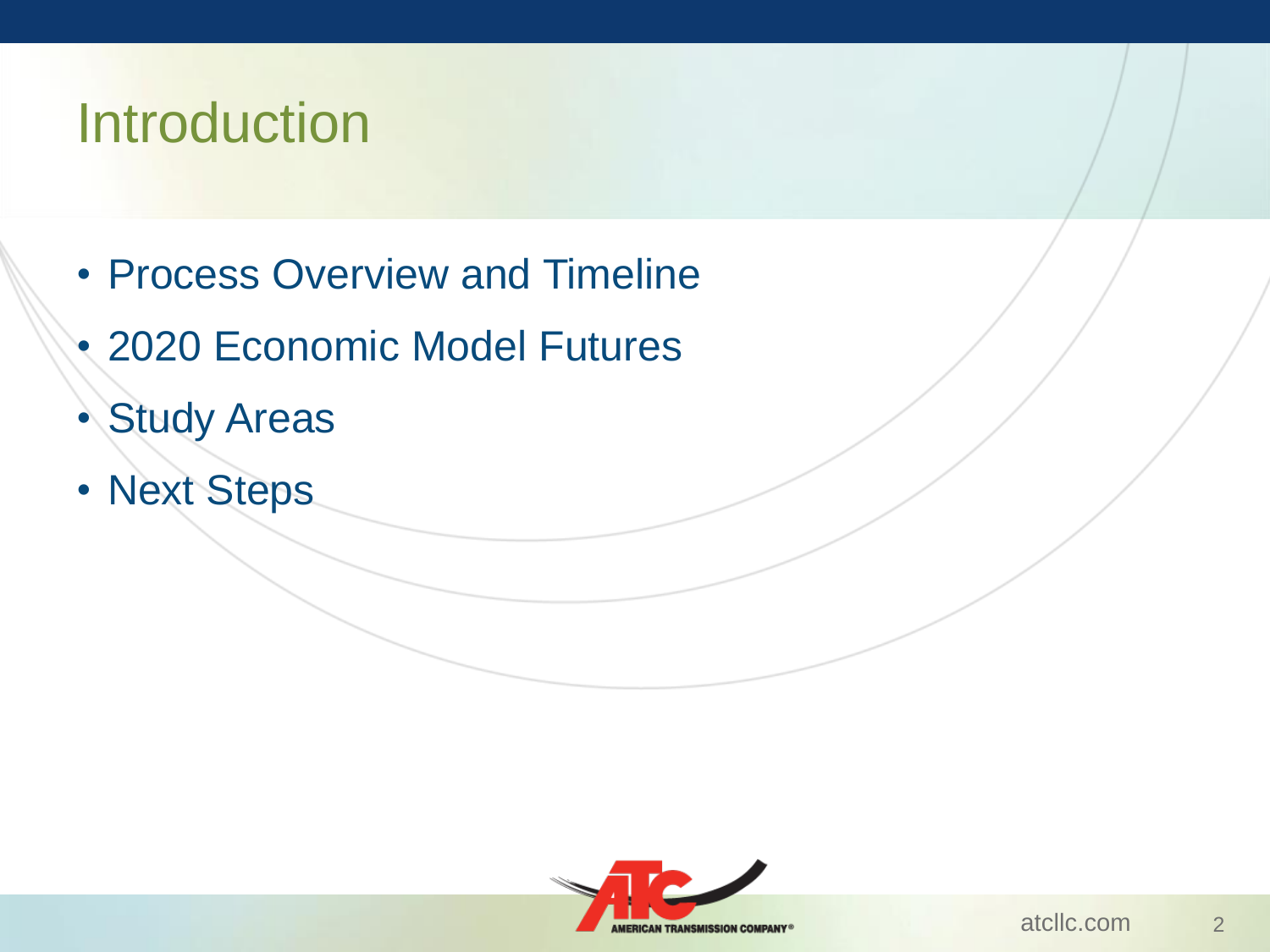#### Introduction

- Process Overview and Timeline
- 2020 Economic Model Futures
- Study Areas
- Next Steps

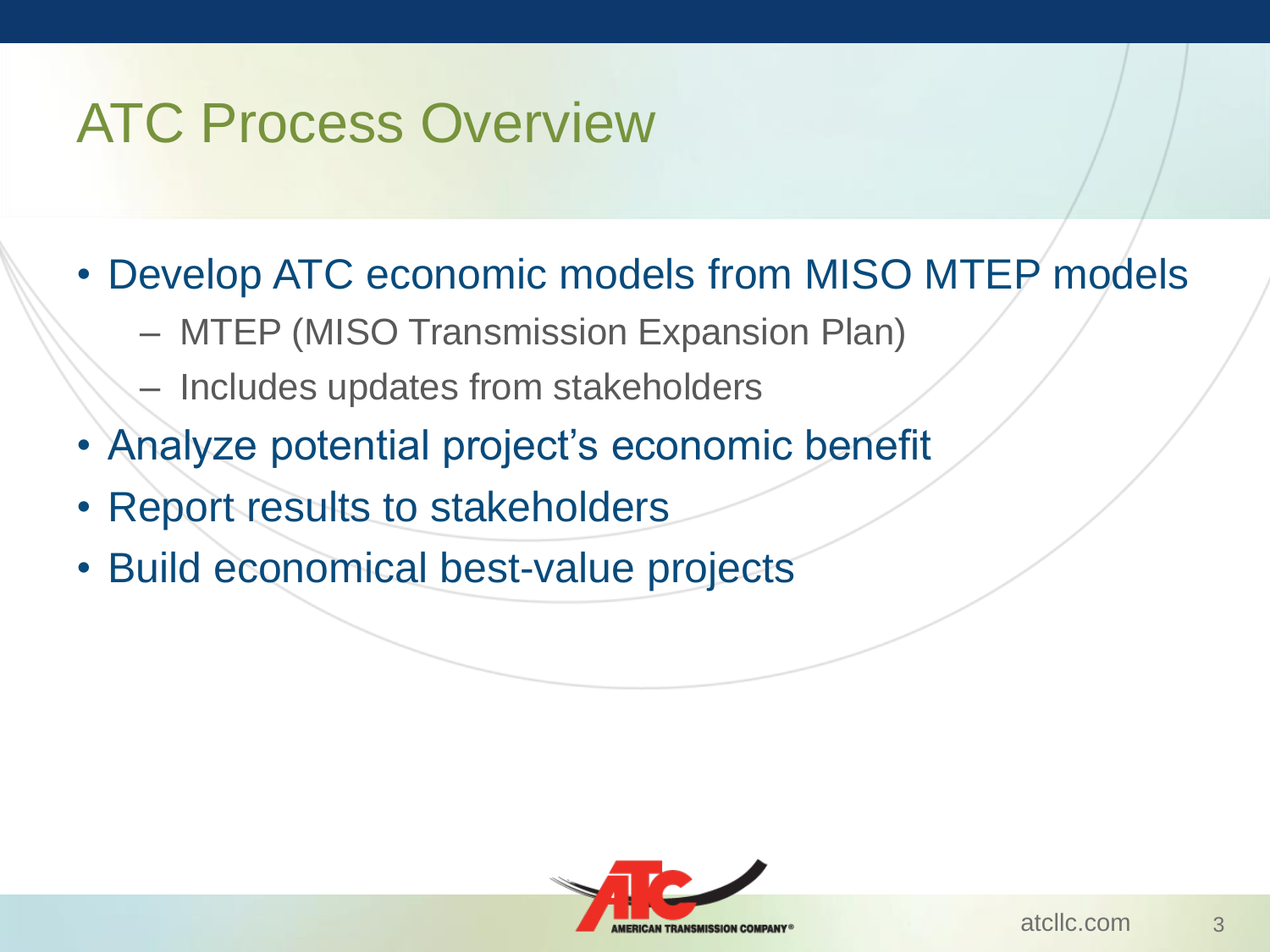# ATC Process Overview

- Develop ATC economic models from MISO MTEP models
	- MTEP (MISO Transmission Expansion Plan)
	- Includes updates from stakeholders
- Analyze potential project's economic benefit
- Report results to stakeholders
- Build economical best-value projects

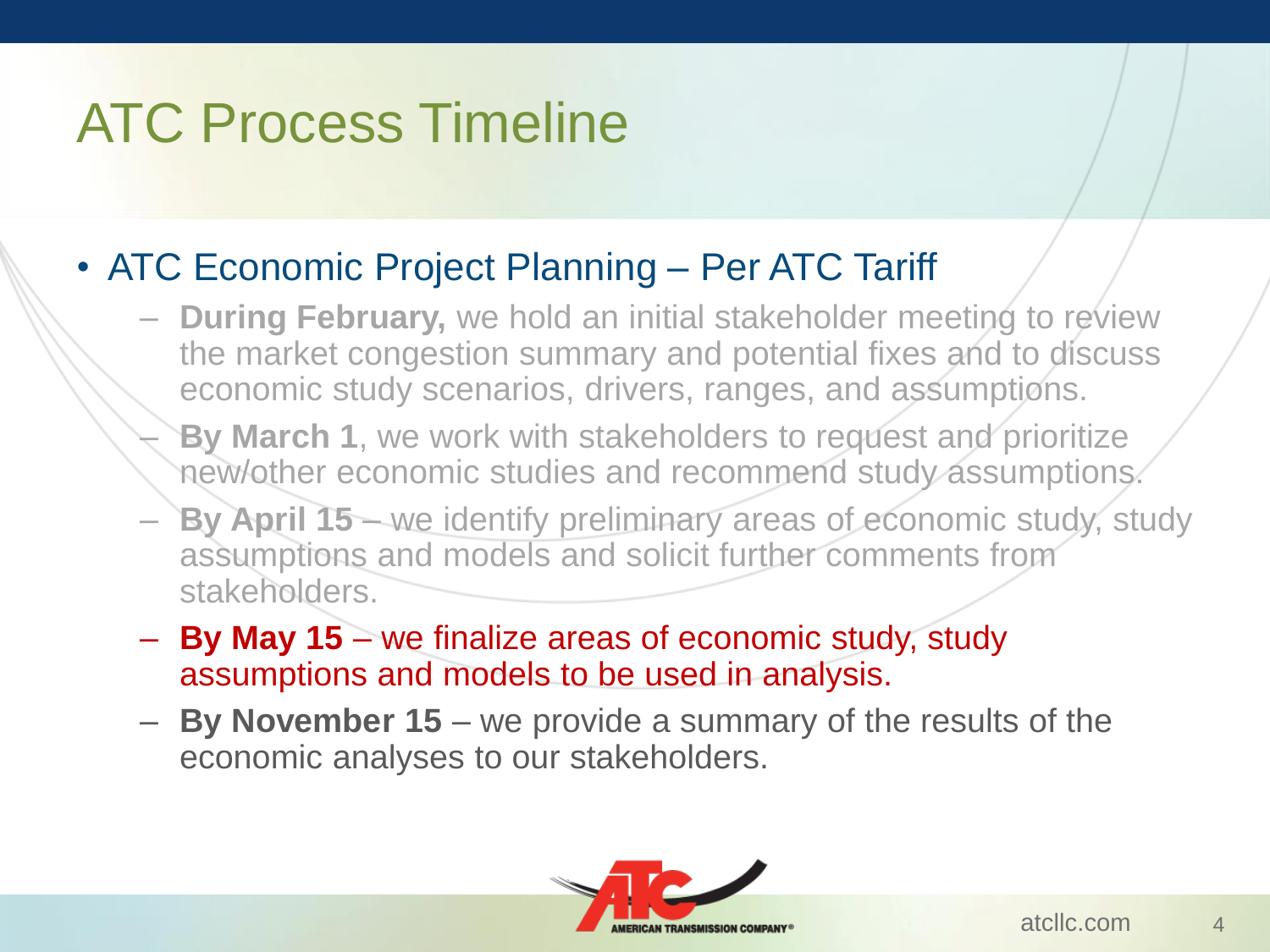## ATC Process Timeline

#### • ATC Economic Project Planning – Per ATC Tariff

- **During February,** we hold an initial stakeholder meeting to review the market congestion summary and potential fixes and to discuss economic study scenarios, drivers, ranges, and assumptions.
- **By March 1**, we work with stakeholders to request and prioritize new/other economic studies and recommend study assumptions.
- **By April 15**  we identify preliminary areas of economic study, study assumptions and models and solicit further comments from stakeholders.
- **By May 15**  we finalize areas of economic study, study assumptions and models to be used in analysis.
- **By November 15**  we provide a summary of the results of the economic analyses to our stakeholders.

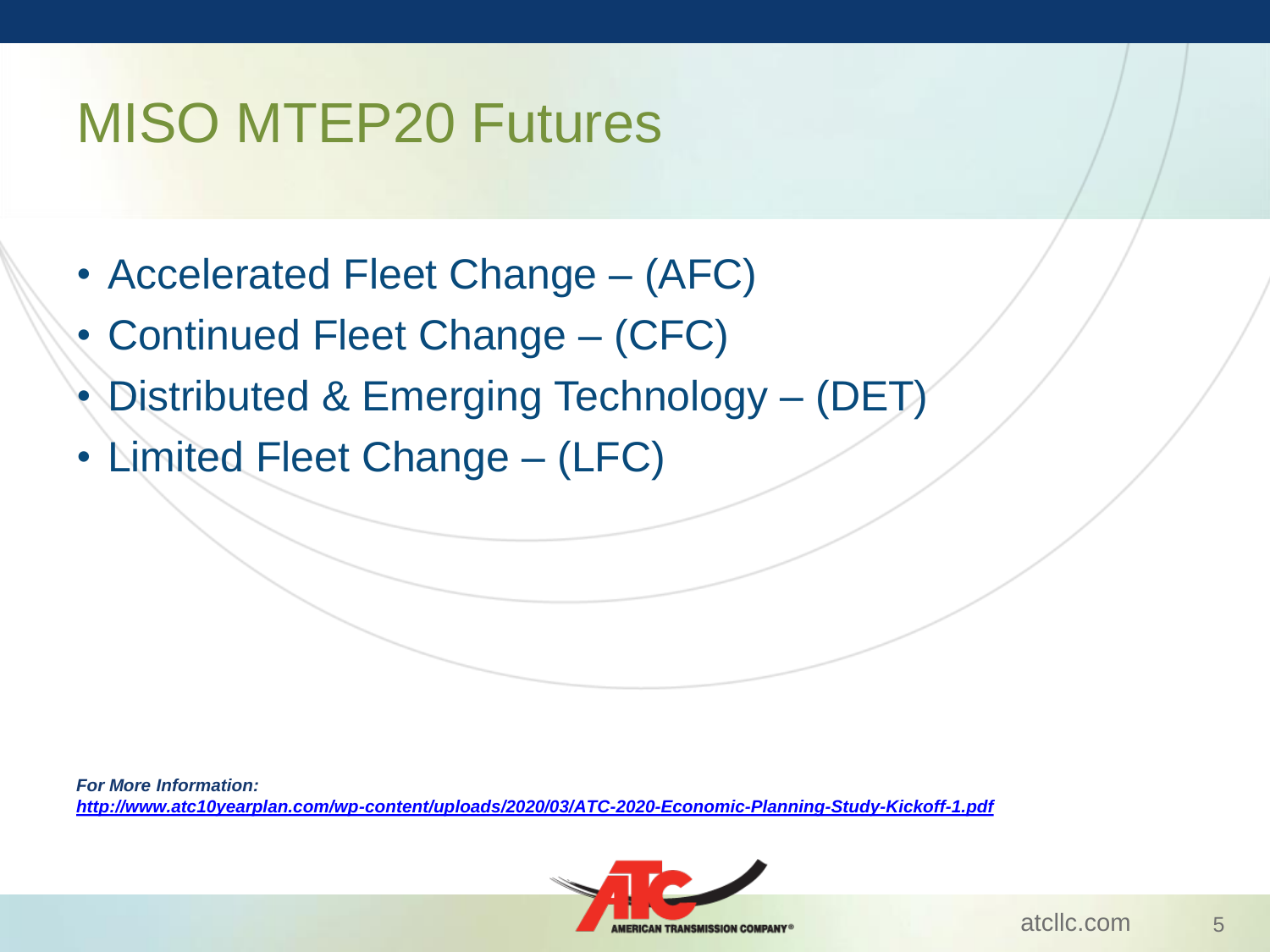# MISO MTEP20 Futures

- Accelerated Fleet Change (AFC)
- Continued Fleet Change (CFC)
- Distributed & Emerging Technology (DET)
- Limited Fleet Change (LFC)

*For More Information: <http://www.atc10yearplan.com/wp-content/uploads/2020/03/ATC-2020-Economic-Planning-Study-Kickoff-1.pdf>*

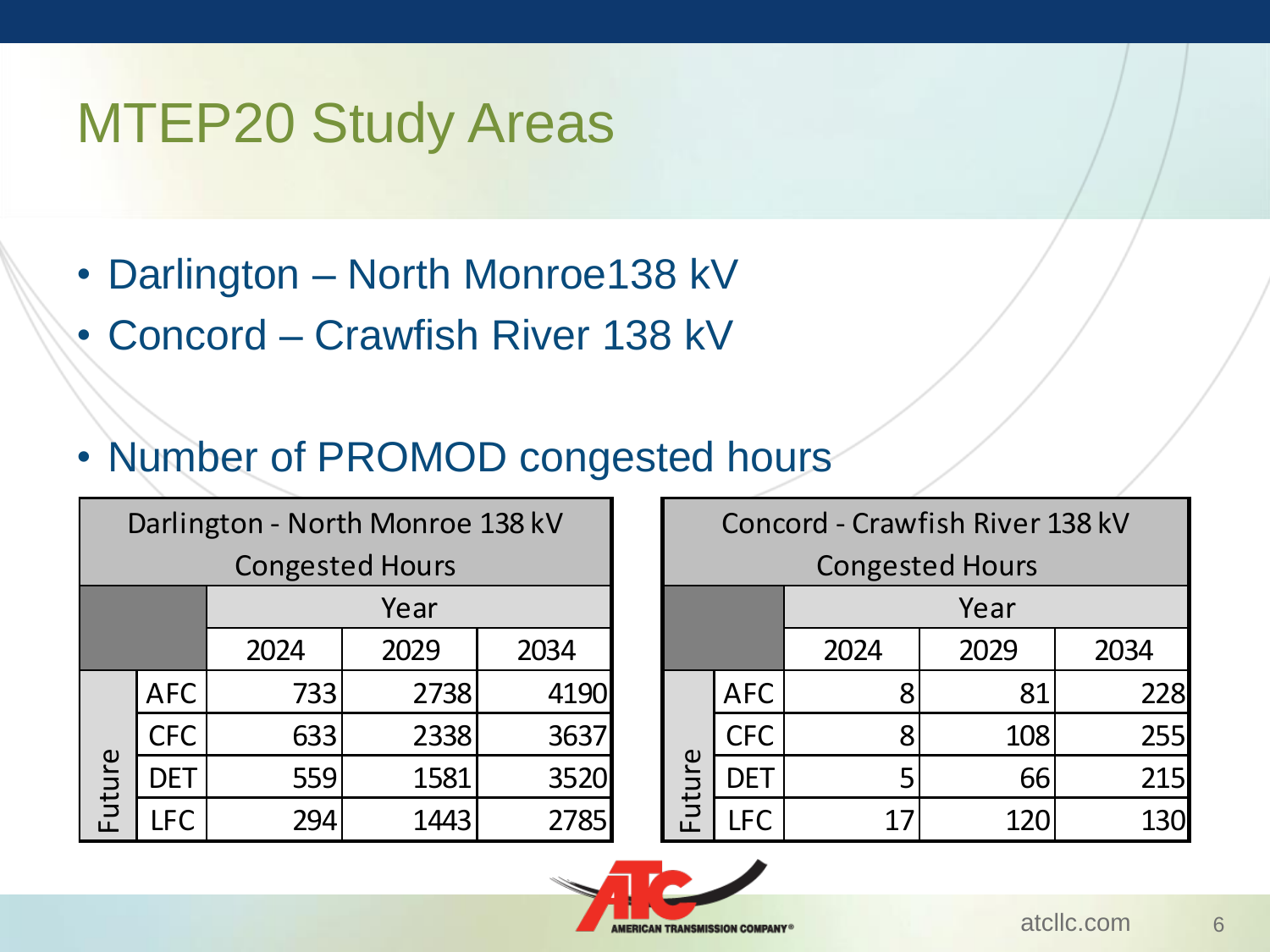#### MTEP20 Study Areas

- Darlington North Monroe138 kV
- Concord Crawfish River 138 kV
- Number of PROMOD congested hours

| Darlington - North Monroe 138 kV |            |      |      |      |  |  |  |  |  |  |
|----------------------------------|------------|------|------|------|--|--|--|--|--|--|
| <b>Congested Hours</b>           |            |      |      |      |  |  |  |  |  |  |
|                                  |            | Year |      |      |  |  |  |  |  |  |
|                                  |            | 2024 | 2029 | 2034 |  |  |  |  |  |  |
| Future                           | <b>AFC</b> | 733  | 2738 | 4190 |  |  |  |  |  |  |
|                                  | <b>CFC</b> | 633  | 2338 | 3637 |  |  |  |  |  |  |
|                                  | DET        | 559  | 1581 | 3520 |  |  |  |  |  |  |
|                                  | <b>LFC</b> |      | 1443 | 2785 |  |  |  |  |  |  |

| arlington - North Monroe 138 kV |            |      |      |  | Concord - Crawfish River 138 kV |            |      |      |      |
|---------------------------------|------------|------|------|--|---------------------------------|------------|------|------|------|
| <b>Congested Hours</b>          |            |      |      |  | <b>Congested Hours</b>          |            |      |      |      |
|                                 | Year       |      |      |  |                                 |            | Year |      |      |
|                                 | 2024       | 2029 | 2034 |  |                                 |            | 2024 | 2029 | 2034 |
| <b>AFC</b>                      | 733        | 2738 | 4190 |  | $\omega$<br>utui                | <b>AFC</b> |      | 81   | 228  |
| <b>CFC</b>                      | 633        | 2338 | 3637 |  |                                 | <b>CFC</b> | 8    | 108  | 255  |
| <b>DET</b>                      | <b>559</b> | 1581 | 3520 |  |                                 | <b>DET</b> | 5    | 66   | 215  |
| <b>LFC</b>                      | 294        | 1443 | 2785 |  |                                 | LFC        | 17   | 120  | 130  |

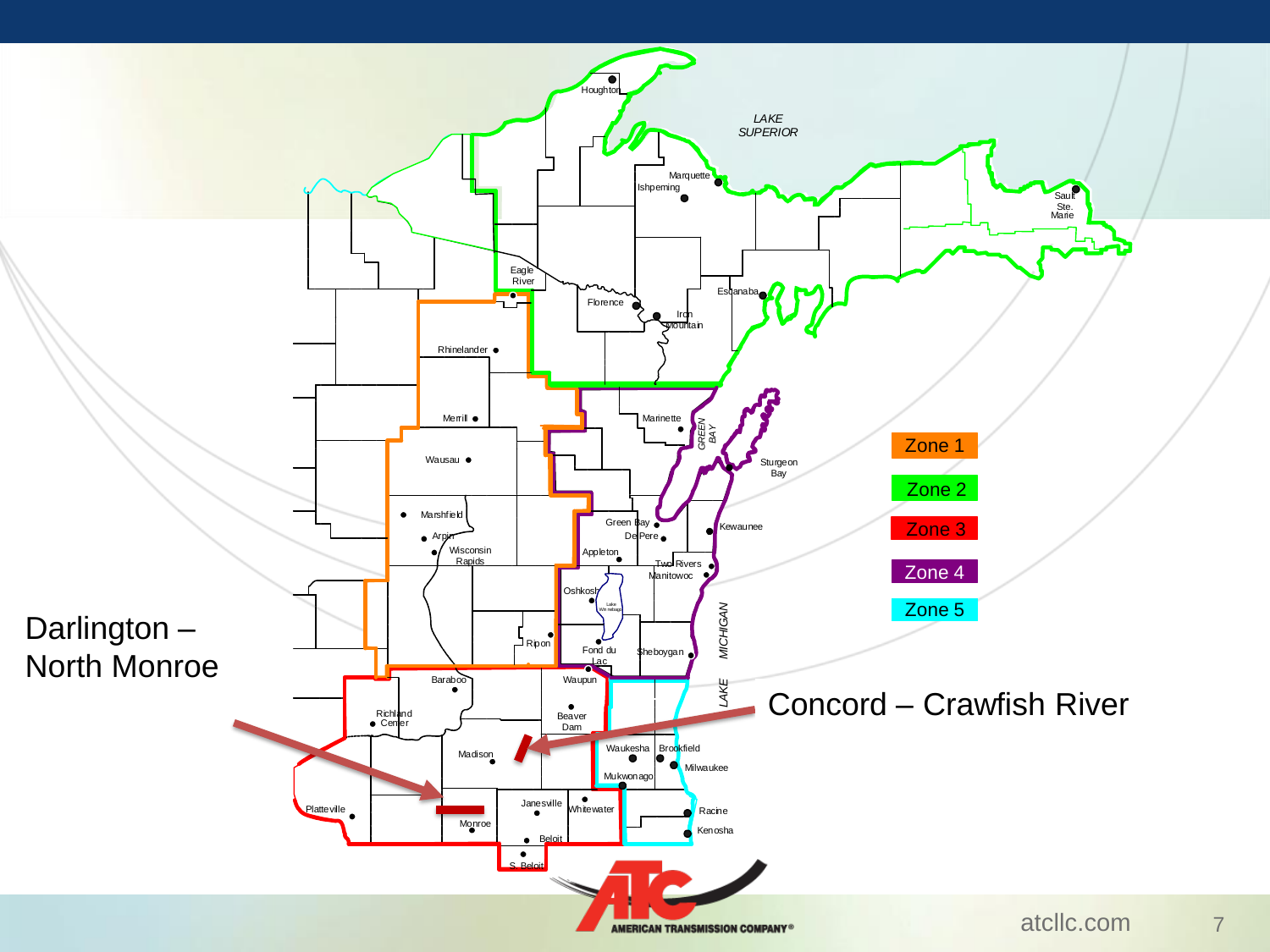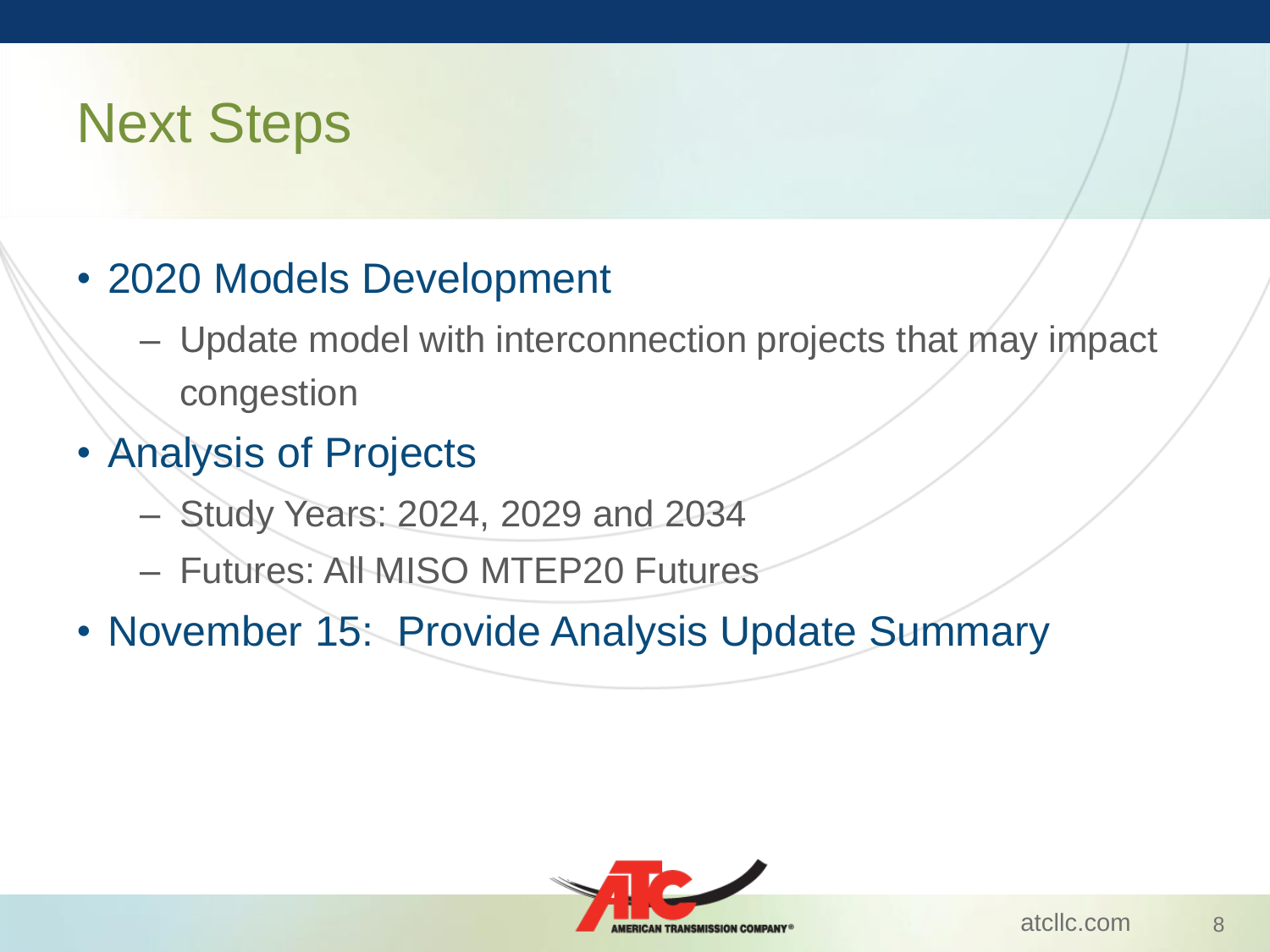## Next Steps

- 2020 Models Development
	- Update model with interconnection projects that may impact congestion
- Analysis of Projects
	- Study Years: 2024, 2029 and 2034
	- Futures: All MISO MTEP20 Futures
- November 15: Provide Analysis Update Summary

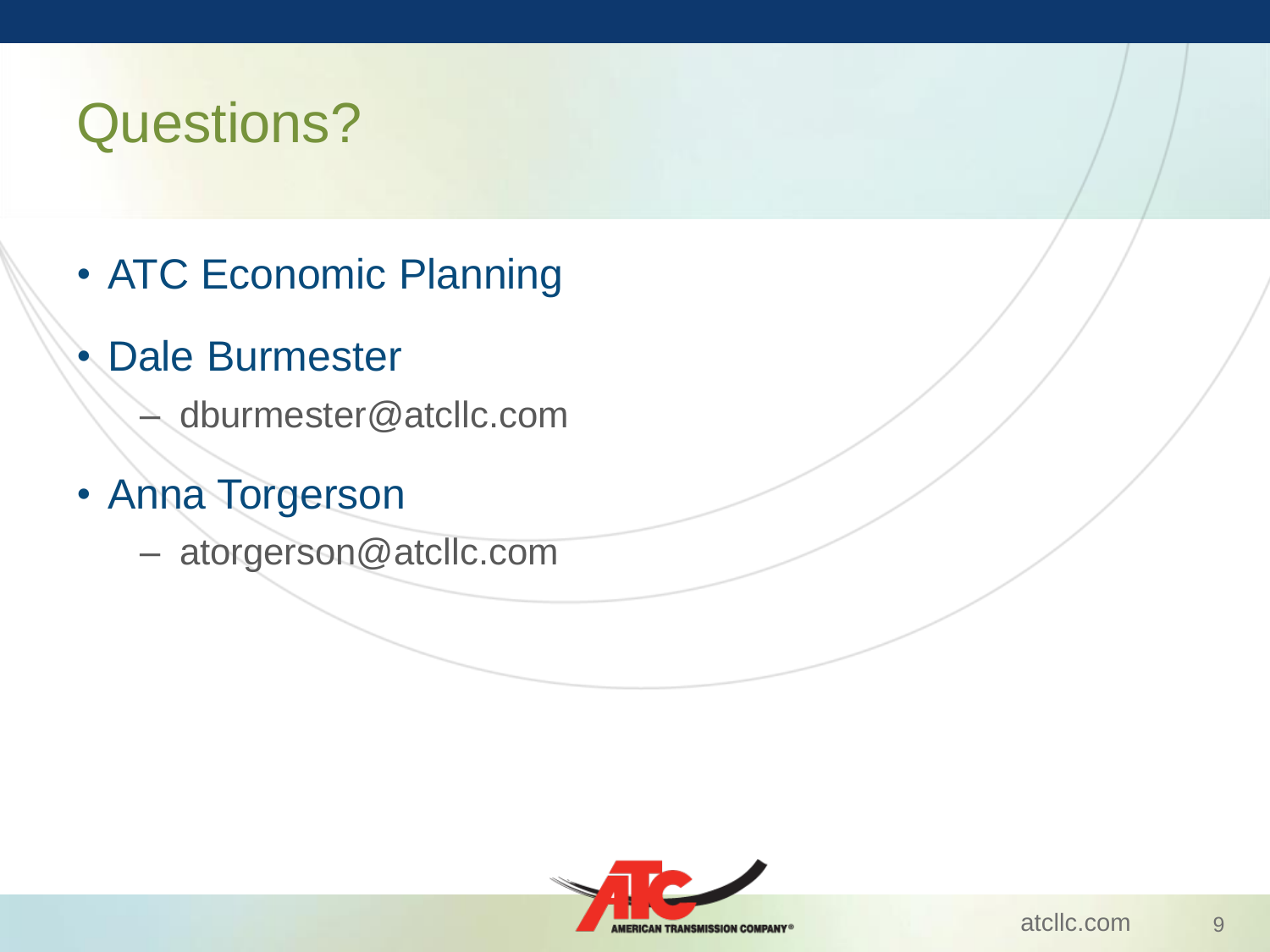# Questions?

- ATC Economic Planning
- Dale Burmester
	- dburmester@atcllc.com
- Anna Torgerson
	- atorgerson@atcllc.com